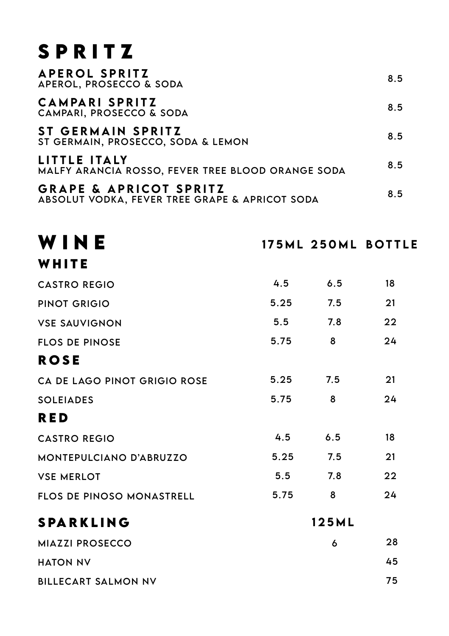## SPRITZ

| <b>APEROL SPRITZ</b><br>APEROL, PROSECCO & SODA                                     | 8.5 |
|-------------------------------------------------------------------------------------|-----|
| CAMPARI SPRITZ<br>CAMPARI, PROSECCO & SODA                                          | 8.5 |
| ST GERMAIN SPRITZ<br>ST GERMAIN, PROSECCO, SODA & LEMON                             | 8.5 |
| LITTLE ITALY<br><b>MALFY ARANCIA ROSSO. FEVER TREE BLOOD ORANGE SODA</b>            | 8.5 |
| <b>GRAPE &amp; APRICOT SPRITZ</b><br>ABSOLUT VODKA, FEVER TREE GRAPE & APRICOT SODA | 8.5 |

| WINE                         |      |       | 175ML 250ML BOTTLE |
|------------------------------|------|-------|--------------------|
| WHITE                        |      |       |                    |
| <b>CASTRO REGIO</b>          | 4.5  | 6.5   | 18                 |
| PINOT GRIGIO                 | 5.25 | 7.5   | 21                 |
| <b>VSE SAUVIGNON</b>         | 5.5  | 7.8   | 22                 |
| <b>FLOS DE PINOSE</b>        | 5.75 | 8     | 24                 |
| ROSE                         |      |       |                    |
| CA DE LAGO PINOT GRIGIO ROSE | 5.25 | 7.5   | 21                 |
| <b>SOLEIADES</b>             | 5.75 | 8     | 24                 |
| RED                          |      |       |                    |
| <b>CASTRO REGIO</b>          | 4.5  | 6.5   | 18                 |
| MONTEPULCIANO D'ABRUZZO      | 5.25 | 7.5   | 21                 |
| <b>VSE MERLOT</b>            | 5.5  | 7.8   | 22                 |
| FLOS DE PINOSO MONASTRELL    | 5.75 | 8     | 24                 |
| SPARKLING                    |      | 125ML |                    |
| <b>MIAZZI PROSECCO</b>       |      | 6     | 28                 |
| <b>HATON NV</b>              |      |       | 45                 |
| <b>BILLECART SALMON NV</b>   |      |       | 75                 |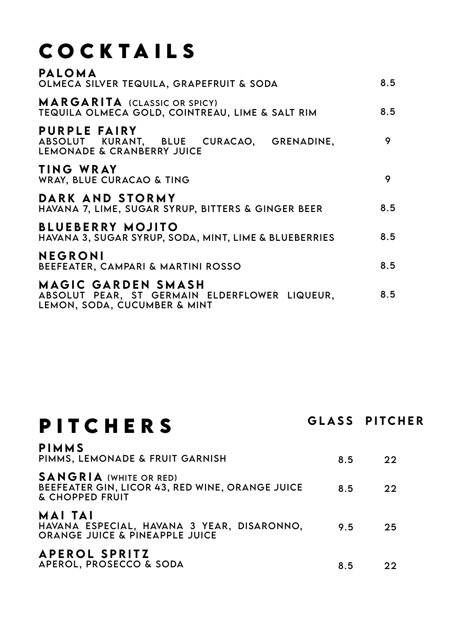# **COCKTAILS**

| <b>MARGARITA</b> (CLASSIC OR SPICY)<br>TEQUILA OLMECA GOLD, COINTREAU, LIME & SALT RIM<br>PURPLE FAIRY<br>9<br>ABSOLUT KURANT, BLUE CURACAO, GRENADINE,<br>LEMONADE & CRANBERRY JUICE<br>TING WRAY<br>9<br>WRAY, BLUE CURACAO & TING<br>DARK AND STORMY<br>HAVANA 7, LIME, SUGAR SYRUP, BITTERS & GINGER BEER<br><b>BLUEBERRY MOJITO</b><br>HAVANA 3, SUGAR SYRUP, SODA, MINT, LIME & BLUEBERRIES<br>NEGRONI<br>BEEFEATER, CAMPARI & MARTINI ROSSO<br>MAGIC GARDEN SMASH<br>ABSOLUT PEAR, ST GERMAIN ELDERFLOWER LIQUEUR,<br>LEMON, SODA, CUCUMBER & MINT | PALOMA<br>OLMECA SILVER TEQUILA, GRAPEFRUIT & SODA | 8.5 |
|-----------------------------------------------------------------------------------------------------------------------------------------------------------------------------------------------------------------------------------------------------------------------------------------------------------------------------------------------------------------------------------------------------------------------------------------------------------------------------------------------------------------------------------------------------------|----------------------------------------------------|-----|
|                                                                                                                                                                                                                                                                                                                                                                                                                                                                                                                                                           |                                                    | 8.5 |
|                                                                                                                                                                                                                                                                                                                                                                                                                                                                                                                                                           |                                                    |     |
|                                                                                                                                                                                                                                                                                                                                                                                                                                                                                                                                                           |                                                    |     |
|                                                                                                                                                                                                                                                                                                                                                                                                                                                                                                                                                           |                                                    | 8.5 |
|                                                                                                                                                                                                                                                                                                                                                                                                                                                                                                                                                           |                                                    | 8.5 |
|                                                                                                                                                                                                                                                                                                                                                                                                                                                                                                                                                           |                                                    | 8.5 |
|                                                                                                                                                                                                                                                                                                                                                                                                                                                                                                                                                           |                                                    | 8.5 |

### **PITCHERS**

GLASS PITCHER

| <b>PIMMS</b><br>PIMMS, LEMONADE & FRUIT GARNISH                                                     | 8.5 | 22 |
|-----------------------------------------------------------------------------------------------------|-----|----|
| <b>SANGRIA</b> (WHITE OR RED)<br>BEEFEATER GIN, LICOR 43, RED WINE, ORANGE JUICE<br>& CHOPPED FRUIT | 8.5 | 22 |
| MAI TAI<br>HAVANA ESPECIAL, HAVANA 3 YEAR, DISARONNO,<br><b>ORANGE JUICE &amp; PINEAPPLE JUICE</b>  | 95  | 25 |
| <b>APEROL SPRITZ</b><br>APEROL, PROSECCO & SODA                                                     | 8.5 | つつ |